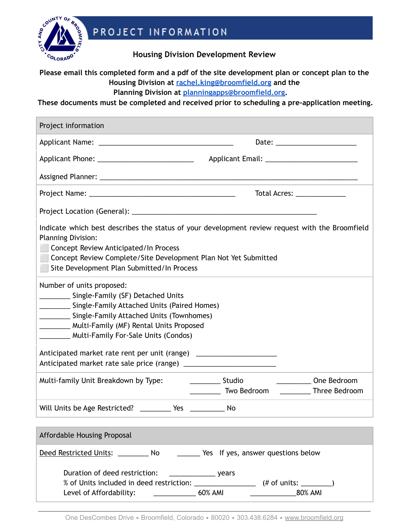

PROJECT INFORMATION

**Housing Division Development Review**

## **Please email this completed form and a pdf of the site development plan or concept plan to the Housing Division at [rachel.king@broomfield.org](mailto:rachel.king@broofmield.org) and the Planning Division at [planningapps@broomfield.org.](mailto:planning@broomfield.org)**

**These documents must be completed and received prior to scheduling a pre-application meeting.**

| Project information                                                                                                                                                                                                                                                                    |                                                                                         |  |
|----------------------------------------------------------------------------------------------------------------------------------------------------------------------------------------------------------------------------------------------------------------------------------------|-----------------------------------------------------------------------------------------|--|
|                                                                                                                                                                                                                                                                                        | Date: _________________________                                                         |  |
|                                                                                                                                                                                                                                                                                        |                                                                                         |  |
|                                                                                                                                                                                                                                                                                        |                                                                                         |  |
|                                                                                                                                                                                                                                                                                        | Total Acres: ______________                                                             |  |
|                                                                                                                                                                                                                                                                                        |                                                                                         |  |
| Indicate which best describes the status of your development review request with the Broomfield<br><b>Planning Division:</b><br>Concept Review Anticipated/In Process<br>Concept Review Complete/Site Development Plan Not Yet Submitted<br>Site Development Plan Submitted/In Process |                                                                                         |  |
| Number of units proposed:<br>___________ Single-Family (SF) Detached Units<br>Single-Family Attached Units (Paired Homes)<br>____________ Single-Family Attached Units (Townhomes)<br>Multi-Family (MF) Rental Units Proposed<br>Multi-Family For-Sale Units (Condos)                  |                                                                                         |  |
| Anticipated market rate rent per unit (range) __________________________________                                                                                                                                                                                                       |                                                                                         |  |
| Multi-family Unit Breakdown by Type:                                                                                                                                                                                                                                                   | One Bedroom<br>______________ Studio<br><b>WO Bedroom</b><br>____________ Three Bedroom |  |
| Will Units be Age Restricted? ___________ Yes ____________ No                                                                                                                                                                                                                          |                                                                                         |  |
| Affordable Housing Proposal                                                                                                                                                                                                                                                            |                                                                                         |  |
| Deed Restricted Units: _________ No<br>Yes If yes, answer questions below                                                                                                                                                                                                              |                                                                                         |  |
| Duration of deed restriction:<br>60% AMI<br><b>80% AMI</b><br>Level of Affordability: ____________                                                                                                                                                                                     |                                                                                         |  |